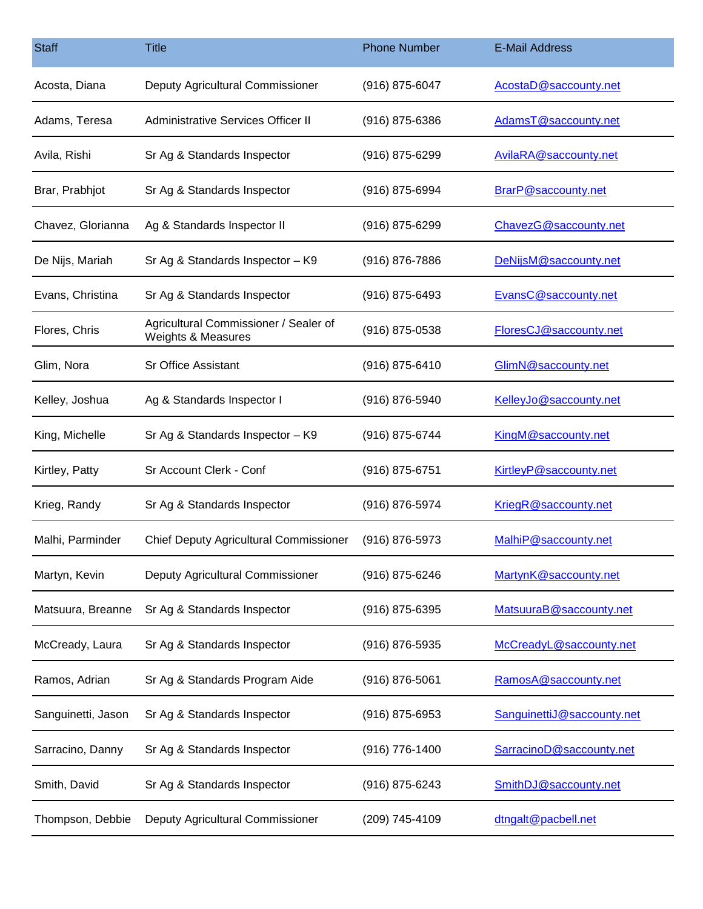| <b>Staff</b>       | <b>Title</b>                                                | <b>Phone Number</b> | <b>E-Mail Address</b>      |
|--------------------|-------------------------------------------------------------|---------------------|----------------------------|
| Acosta, Diana      | Deputy Agricultural Commissioner                            | $(916)$ 875-6047    | AcostaD@saccounty.net      |
| Adams, Teresa      | Administrative Services Officer II                          | $(916)$ 875-6386    | AdamsT@saccounty.net       |
| Avila, Rishi       | Sr Ag & Standards Inspector                                 | (916) 875-6299      | AvilaRA@saccounty.net      |
| Brar, Prabhjot     | Sr Ag & Standards Inspector                                 | (916) 875-6994      | BrarP@saccounty.net        |
| Chavez, Glorianna  | Ag & Standards Inspector II                                 | $(916)$ 875-6299    | ChavezG@saccounty.net      |
| De Nijs, Mariah    | Sr Ag & Standards Inspector - K9                            | (916) 876-7886      | DeNijsM@saccounty.net      |
| Evans, Christina   | Sr Ag & Standards Inspector                                 | (916) 875-6493      | EvansC@saccounty.net       |
| Flores, Chris      | Agricultural Commissioner / Sealer of<br>Weights & Measures | (916) 875-0538      | FloresCJ@saccounty.net     |
| Glim, Nora         | <b>Sr Office Assistant</b>                                  | (916) 875-6410      | GlimN@saccounty.net        |
| Kelley, Joshua     | Ag & Standards Inspector I                                  | (916) 876-5940      | KelleyJo@saccounty.net     |
| King, Michelle     | Sr Ag & Standards Inspector - K9                            | (916) 875-6744      | KingM@saccounty.net        |
| Kirtley, Patty     | Sr Account Clerk - Conf                                     | $(916) 875 - 6751$  | KirtleyP@saccounty.net     |
| Krieg, Randy       | Sr Ag & Standards Inspector                                 | (916) 876-5974      | KriegR@saccounty.net       |
| Malhi, Parminder   | <b>Chief Deputy Agricultural Commissioner</b>               | (916) 876-5973      | MalhiP@saccounty.net       |
| Martyn, Kevin      | Deputy Agricultural Commissioner                            | (916) 875-6246      | MartynK@saccounty.net      |
| Matsuura, Breanne  | Sr Ag & Standards Inspector                                 | (916) 875-6395      | MatsuuraB@saccounty.net    |
| McCready, Laura    | Sr Ag & Standards Inspector                                 | (916) 876-5935      | McCreadyL@saccounty.net    |
| Ramos, Adrian      | Sr Ag & Standards Program Aide                              | (916) 876-5061      | RamosA@saccounty.net       |
| Sanguinetti, Jason | Sr Ag & Standards Inspector                                 | (916) 875-6953      | SanguinettiJ@saccounty.net |
| Sarracino, Danny   | Sr Ag & Standards Inspector                                 | (916) 776-1400      | SarracinoD@saccounty.net   |
| Smith, David       | Sr Ag & Standards Inspector                                 | (916) 875-6243      | SmithDJ@saccounty.net      |
| Thompson, Debbie   | Deputy Agricultural Commissioner                            | (209) 745-4109      | dtngalt@pacbell.net        |